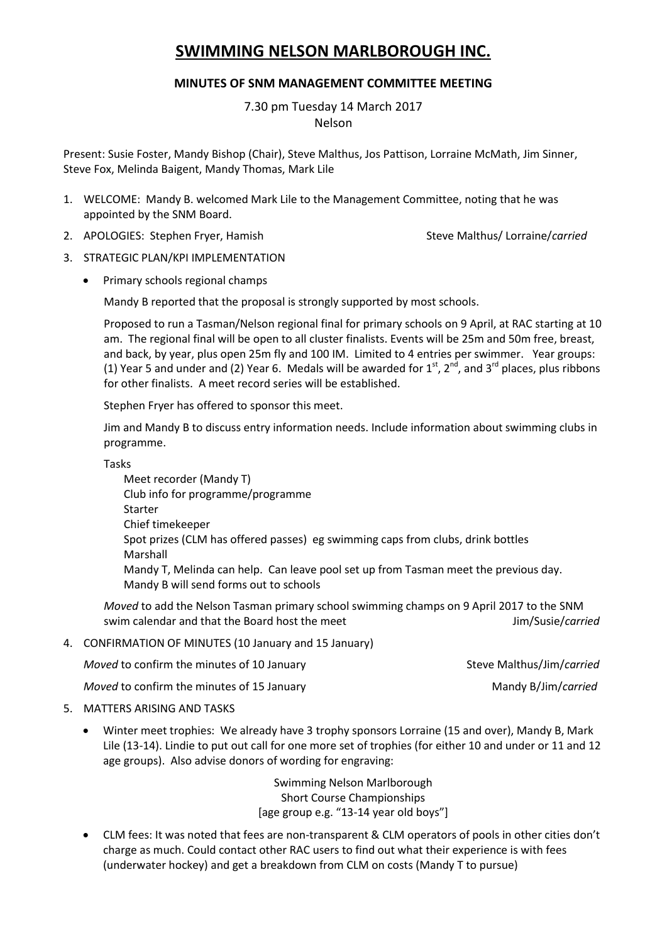## **SWIMMING NELSON MARLBOROUGH INC.**

## **MINUTES OF SNM MANAGEMENT COMMITTEE MEETING**

7.30 pm Tuesday 14 March 2017 Nelson

Present: Susie Foster, Mandy Bishop (Chair), Steve Malthus, Jos Pattison, Lorraine McMath, Jim Sinner, Steve Fox, Melinda Baigent, Mandy Thomas, Mark Lile

- 1. WELCOME: Mandy B. welcomed Mark Lile to the Management Committee, noting that he was appointed by the SNM Board.
- 2. APOLOGIES: Stephen Fryer, Hamish Steve Malthus/ Lorraine/carried

- 3. STRATEGIC PLAN/KPI IMPLEMENTATION
	- Primary schools regional champs

Mandy B reported that the proposal is strongly supported by most schools.

Proposed to run a Tasman/Nelson regional final for primary schools on 9 April, at RAC starting at 10 am. The regional final will be open to all cluster finalists. Events will be 25m and 50m free, breast, and back, by year, plus open 25m fly and 100 IM. Limited to 4 entries per swimmer. Year groups: (1) Year 5 and under and (2) Year 6. Medals will be awarded for  $1^{st}$ ,  $2^{nd}$ , and  $3^{rd}$  places, plus ribbons for other finalists. A meet record series will be established.

Stephen Fryer has offered to sponsor this meet.

Jim and Mandy B to discuss entry information needs. Include information about swimming clubs in programme.

Tasks

Meet recorder (Mandy T) Club info for programme/programme Starter Chief timekeeper Spot prizes (CLM has offered passes) eg swimming caps from clubs, drink bottles Marshall Mandy T, Melinda can help. Can leave pool set up from Tasman meet the previous day. Mandy B will send forms out to schools

*Moved* to add the Nelson Tasman primary school swimming champs on 9 April 2017 to the SNM swim calendar and that the Board host the meet Jim/Susie/*carried* 

4. CONFIRMATION OF MINUTES (10 January and 15 January)

*Moved* to confirm the minutes of 10 January Steve Malthus/Jim/*carried* 

*Moved* to confirm the minutes of 15 January Mandy B/Jim/*carried* 

- 5. MATTERS ARISING AND TASKS
	- Winter meet trophies: We already have 3 trophy sponsors Lorraine (15 and over), Mandy B, Mark Lile (13-14). Lindie to put out call for one more set of trophies (for either 10 and under or 11 and 12 age groups). Also advise donors of wording for engraving:

Swimming Nelson Marlborough Short Course Championships [age group e.g. "13-14 year old boys"]

 CLM fees: It was noted that fees are non-transparent & CLM operators of pools in other cities don't charge as much. Could contact other RAC users to find out what their experience is with fees (underwater hockey) and get a breakdown from CLM on costs (Mandy T to pursue)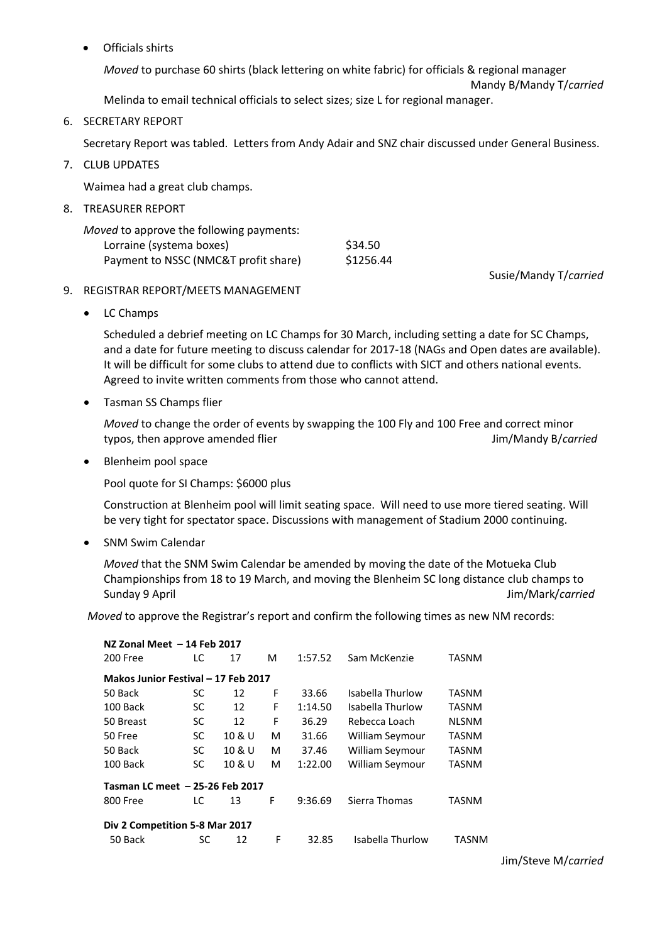Officials shirts

*Moved* to purchase 60 shirts (black lettering on white fabric) for officials & regional manager

Mandy B/Mandy T/*carried*

Melinda to email technical officials to select sizes; size L for regional manager.

6. SECRETARY REPORT

Secretary Report was tabled. Letters from Andy Adair and SNZ chair discussed under General Business.

7. CLUB UPDATES

Waimea had a great club champs.

8. TREASURER REPORT

| <i>Moved</i> to approve the following payments: |           |
|-------------------------------------------------|-----------|
| Lorraine (systema boxes)                        | \$34.50   |
| Payment to NSSC (NMC&T profit share)            | \$1256.44 |

Susie/Mandy T/*carried*

- 9. REGISTRAR REPORT/MEETS MANAGEMENT
	- LC Champs

Scheduled a debrief meeting on LC Champs for 30 March, including setting a date for SC Champs, and a date for future meeting to discuss calendar for 2017-18 (NAGs and Open dates are available). It will be difficult for some clubs to attend due to conflicts with SICT and others national events. Agreed to invite written comments from those who cannot attend.

Tasman SS Champs flier

*Moved* to change the order of events by swapping the 100 Fly and 100 Free and correct minor typos, then approve amended flier and the state of the state of the state of the state of the state of the state of the state of the state of the state of the state of the state of the state of the state of the state of th

• Blenheim pool space

Pool quote for SI Champs: \$6000 plus

Construction at Blenheim pool will limit seating space. Will need to use more tiered seating. Will be very tight for spectator space. Discussions with management of Stadium 2000 continuing.

SNM Swim Calendar

*Moved* that the SNM Swim Calendar be amended by moving the date of the Motueka Club Championships from 18 to 19 March, and moving the Blenheim SC long distance club champs to Sunday 9 April Jim/Mark/*carried*

*Moved* to approve the Registrar's report and confirm the following times as new NM records:

| NZ Zonal Meet - 14 Feb 2017         |    |        |   |         |                  |              |  |  |
|-------------------------------------|----|--------|---|---------|------------------|--------------|--|--|
| 200 Free                            | LC | 17     | м | 1:57.52 | Sam McKenzie     | TASNM        |  |  |
| Makos Junior Festival - 17 Feb 2017 |    |        |   |         |                  |              |  |  |
| 50 Back                             | SC | 12     | F | 33.66   | Isabella Thurlow | TASNM        |  |  |
| 100 Back                            | SC | 12     | F | 1:14.50 | Isabella Thurlow | TASNM        |  |  |
| 50 Breast                           | SC | 12     | F | 36.29   | Rebecca Loach    | <b>NLSNM</b> |  |  |
| 50 Free                             | SC | 10 & U | м | 31.66   | William Seymour  | TASNM        |  |  |
| 50 Back                             | SC | 10 & U | М | 37.46   | William Seymour  | TASNM        |  |  |
| 100 Back                            | SC | 10 & U | м | 1:22.00 | William Seymour  | <b>TASNM</b> |  |  |
| Tasman LC meet - 25-26 Feb 2017     |    |        |   |         |                  |              |  |  |
| 800 Free                            | LC | 13     | F | 9:36.69 | Sierra Thomas    | TASNM        |  |  |
| Div 2 Competition 5-8 Mar 2017      |    |        |   |         |                  |              |  |  |
| 50 Back                             | SC | 12     | F | 32.85   | Isabella Thurlow | TASNM        |  |  |

Jim/Steve M/*carried*